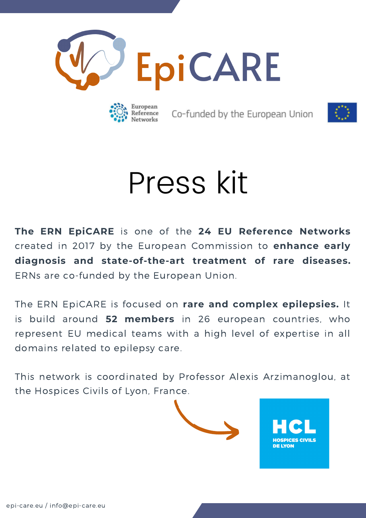



Co-funded by the European Union



# Press kit

**The ERN EpiCARE** is one of the **24 EU Reference Networks** created in 2017 by the European Commission to **enhance early diagnosis and state-of-the-art treatment of rare diseases.** ERNs are co-funded by the European Union.

The ERN EpiCARE is focused on **rare and complex epilepsies.** It is build around **52 members** in 26 european countries, who represent EU medical teams with a high level of expertise in all domains related to epilepsy care.

This network is coordinated by Professor Alexis Arzimanoglou, at the Hospices Civils of Lyon, France.

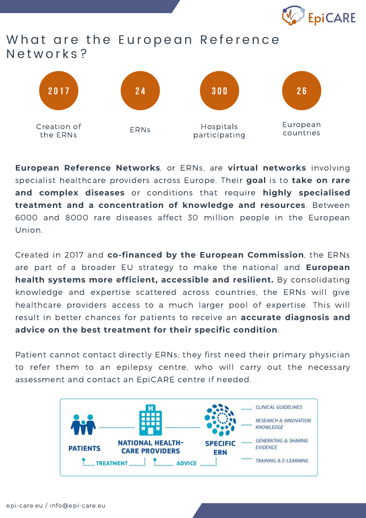

## What are the European Reference Networks?



**European Reference Networks**, or ERNs, are **virtual networks** involving specialist healthcare providers across Europe. Their **goal** is to **take on rare and complex diseases** or conditions that require **highly specialised treatment and a concentration of knowledge and resources**. Between 6000 and 8000 rare diseases affect 30 million people in the European Union.

Created in 2017 and **co-financed by the European Commission**, the ERNs are part of a broader EU strategy to make the national and **European health systems more efficient, accessible and resilient.** By consolidating knowledge and expertise scattered across countries, the ERNs will give healthcare providers access to a much larger pool of expertise. This will result in better chances for patients to receive an **accurate diagnosis and advice on the best treatment for their specific condition**.

Patient cannot contact directly ERNs; they first need their primary physician to refer them to an epilepsy centre, who will carry out the necessary assessment and contact an EpiCARE centre if needed.

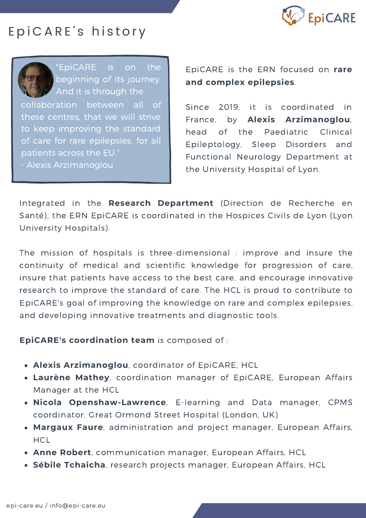

# E p i C A R E's history

collaboration between all of these centres, that we will strive to keep improving the standard of care for rare epilepsies, for all patients across the EU." - Alexis Arzimanoglou "EpiCARE is on the beginning of its journey. And it is through the

EpiCARE is the ERN focused on **rare and complex epilepsies**.

Since 2019, it is coordinated in France, by **Alexis Arzimanoglou**, head of the Paediatric Clinical Epileptology, Sleep Disorders and Functional Neurology Department at the University Hospital of Lyon.

Integrated in the **Research Department** (Direction de Recherche en Santé), the ERN EpiCARE is coordinated in the Hospices Civils de Lyon (Lyon University Hospitals).

The mission of hospitals is three-dimensional : improve and insure the continuity of medical and scientific knowledge for progression of care, insure that patients have access to the best care, and encourage innovative research to improve the standard of care. The HCL is proud to contribute to EpiCARE's goal of improving the knowledge on rare and complex epilepsies, and developing innovative treatments and diagnostic tools.

**EpiCARE's coordination team** is composed of :

- **Alexis Arzimanoglou**, coordinator of EpiCARE, HCL
- **Laurène Mathey**, coordination manager of EpiCARE, European Affairs Manager at the HCL
- **Nicola Openshaw-Lawrence**, E-learning and Data manager, CPMS coordinator, Great Ormond Street Hospital (London, UK)
- **Margaux Faure**, administration and project manager, European Affairs, **HCL**
- **Anne Robert**, communication manager, European Affairs, HCL
- **Sébile Tchaicha**, research projects manager, European Affairs, HCL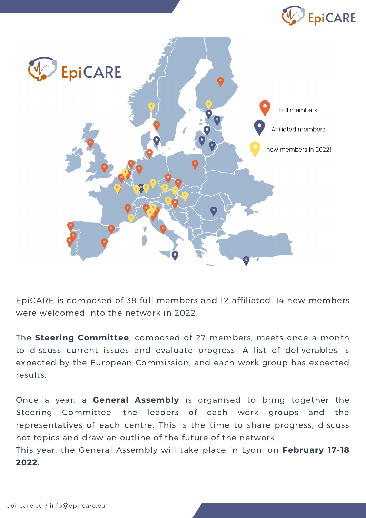



EpiCARE is composed of 38 full members and 12 affiliated. 14 new members were welcomed into the network in 2022.

The **Steering Committee**, composed of 27 members, meets once a month to discuss current issues and evaluate progress. A list of deliverables is expected by the European Commission, and each work group has expected results.

Once a year, a **General Assembly** is organised to bring together the Steering Committee, the leaders of each work groups and the representatives of each centre. This is the time to share progress, discuss hot topics and draw an outline of the future of the network.

This year, the General Assembly will take place in Lyon, on **February 17-18 2022.**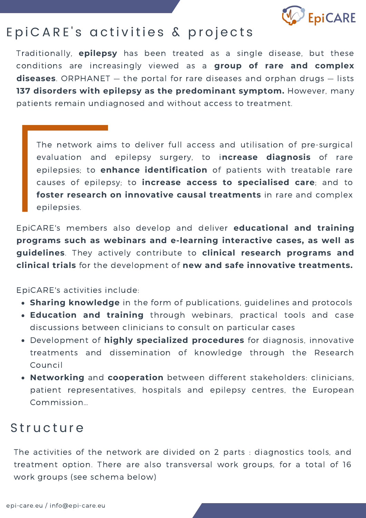

# EpiCARE's activities & projects

Traditionally, **epilepsy** has been treated as a single disease, but these conditions are increasingly viewed as a **group of rare and complex diseases**. ORPHANET — the portal for rare diseases and orphan drugs — lists **137 disorders with epilepsy as the predominant symptom.** However, many patients remain undiagnosed and without access to treatment.

The network aims to deliver full access and utilisation of pre-surgical evaluation and epilepsy surgery, to i**ncrease diagnosis** of rare epilepsies; to **enhance identification** of patients with treatable rare causes of epilepsy; to **increase access to specialised care**; and to **foster research on innovative causal treatments** in rare and complex epilepsies.

EpiCARE's members also develop and deliver **educational and training programs such as webinars and e-learning interactive cases, as well as guidelines**. They actively contribute to **clinical research programs and clinical trials** for the development of **new and safe innovative treatments.**

EpiCARE's activities include:

- **Sharing knowledge** in the form of publications, guidelines and protocols
- **Education and training** through webinars, practical tools and case discussions between clinicians to consult on particular cases
- Development of **highly specialized procedures** for diagnosis, innovative treatments and dissemination of knowledge through the Research Council
- **Networking** and **cooperation** between different stakeholders: clinicians, patient representatives, hospitals and epilepsy centres, the European Commission…

# **Structure**

The activities of the network are divided on 2 parts : diagnostics tools, and treatment option. There are also transversal work groups, for a total of 16 work groups (see schema below)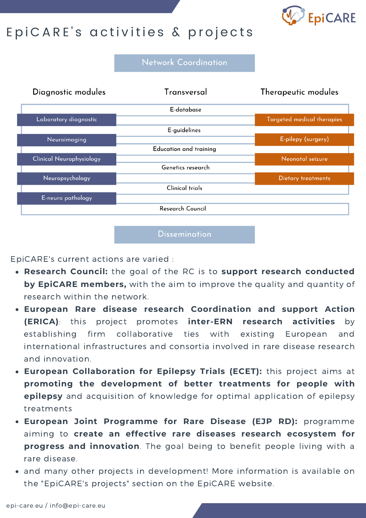

# E p i C A R E's activities & projects

**Network Coordination** 



Dissemination

EpiCARE's current actions are varied :

- **Research Council:** the goal of the RC is to **support research conducted by EpiCARE members,** with the aim to improve the quality and quantity of research within the network.
- **European Rare disease research Coordination and support Action (ERICA)**: this project promotes **inter-ERN research activities** by establishing firm collaborative ties with existing European and international infrastructures and consortia involved in rare disease research and innovation.
- **European Collaboration for Epilepsy Trials (ECET):** this project aims at **promoting the development of better treatments for people with epilepsy** and acquisition of knowledge for optimal application of epilepsy treatments
- **European Joint Programme for Rare Disease (EJP RD):** programme aiming to **create an effective rare diseases research ecosystem for progress and innovation**. The goal being to benefit people living with a rare disease.
- and many other projects in development! More information is available on the "EpiCARE's projects" section on the EpiCARE website.